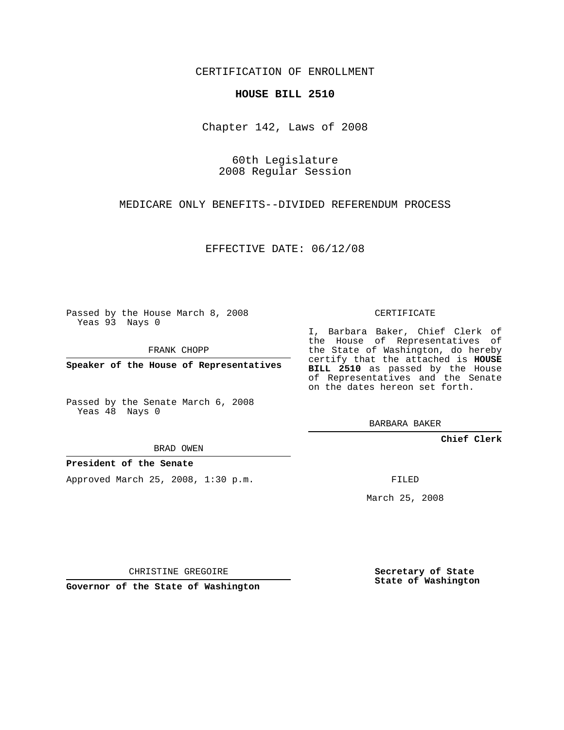CERTIFICATION OF ENROLLMENT

## **HOUSE BILL 2510**

Chapter 142, Laws of 2008

60th Legislature 2008 Regular Session

MEDICARE ONLY BENEFITS--DIVIDED REFERENDUM PROCESS

EFFECTIVE DATE: 06/12/08

Passed by the House March 8, 2008 Yeas 93 Nays 0

FRANK CHOPP

**Speaker of the House of Representatives**

Passed by the Senate March 6, 2008 Yeas 48 Nays 0

BRAD OWEN

**President of the Senate**

Approved March 25, 2008, 1:30 p.m.

CERTIFICATE

I, Barbara Baker, Chief Clerk of the House of Representatives of the State of Washington, do hereby certify that the attached is **HOUSE BILL 2510** as passed by the House of Representatives and the Senate on the dates hereon set forth.

BARBARA BAKER

**Chief Clerk**

FILED

March 25, 2008

CHRISTINE GREGOIRE

**Governor of the State of Washington**

**Secretary of State State of Washington**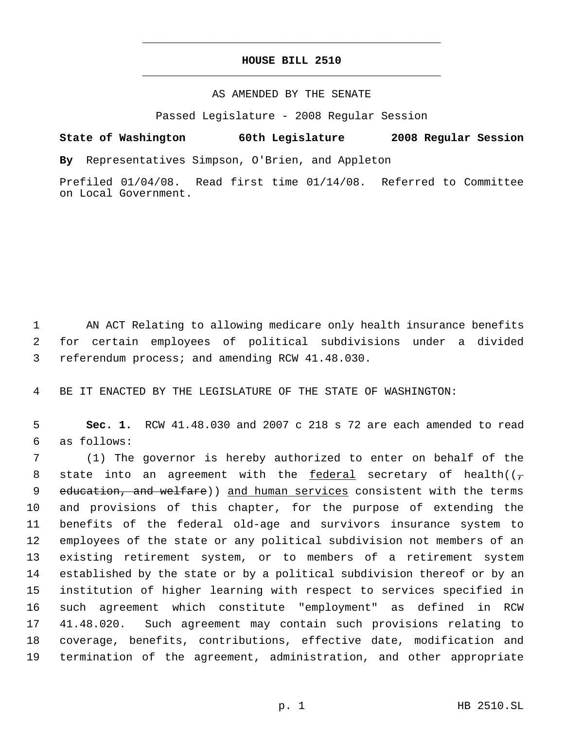## **HOUSE BILL 2510** \_\_\_\_\_\_\_\_\_\_\_\_\_\_\_\_\_\_\_\_\_\_\_\_\_\_\_\_\_\_\_\_\_\_\_\_\_\_\_\_\_\_\_\_\_

\_\_\_\_\_\_\_\_\_\_\_\_\_\_\_\_\_\_\_\_\_\_\_\_\_\_\_\_\_\_\_\_\_\_\_\_\_\_\_\_\_\_\_\_\_

## AS AMENDED BY THE SENATE

Passed Legislature - 2008 Regular Session

## **State of Washington 60th Legislature 2008 Regular Session**

**By** Representatives Simpson, O'Brien, and Appleton

Prefiled 01/04/08. Read first time 01/14/08. Referred to Committee on Local Government.

 1 AN ACT Relating to allowing medicare only health insurance benefits 2 for certain employees of political subdivisions under a divided 3 referendum process; and amending RCW 41.48.030.

4 BE IT ENACTED BY THE LEGISLATURE OF THE STATE OF WASHINGTON:

 5 **Sec. 1.** RCW 41.48.030 and 2007 c 218 s 72 are each amended to read 6 as follows:

 (1) The governor is hereby authorized to enter on behalf of the 8 state into an agreement with the federal secretary of health( $(\tau)$ 9 education, and welfare)) and human services consistent with the terms and provisions of this chapter, for the purpose of extending the benefits of the federal old-age and survivors insurance system to employees of the state or any political subdivision not members of an existing retirement system, or to members of a retirement system established by the state or by a political subdivision thereof or by an institution of higher learning with respect to services specified in such agreement which constitute "employment" as defined in RCW 41.48.020. Such agreement may contain such provisions relating to coverage, benefits, contributions, effective date, modification and termination of the agreement, administration, and other appropriate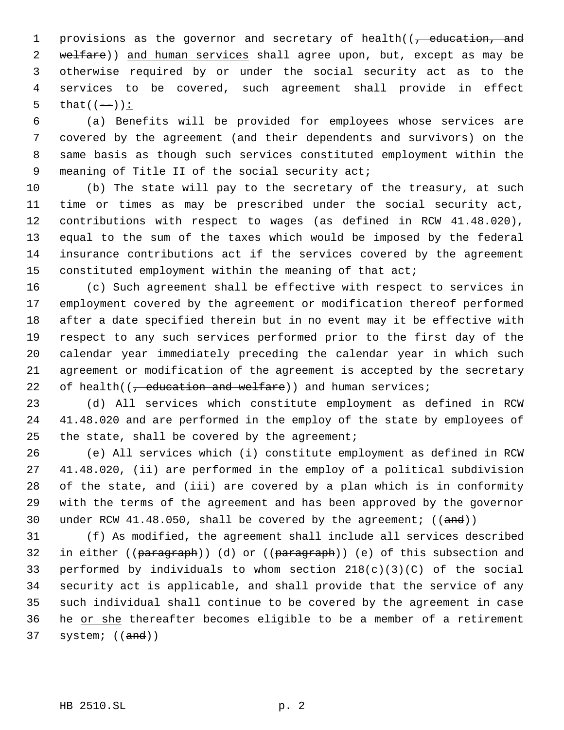1 provisions as the governor and secretary of health((, education, and 2 welfare)) and human services shall agree upon, but, except as may be otherwise required by or under the social security act as to the services to be covered, such agreement shall provide in effect 5 that  $((-))$  :

 (a) Benefits will be provided for employees whose services are covered by the agreement (and their dependents and survivors) on the same basis as though such services constituted employment within the 9 meaning of Title II of the social security act;

 (b) The state will pay to the secretary of the treasury, at such time or times as may be prescribed under the social security act, contributions with respect to wages (as defined in RCW 41.48.020), equal to the sum of the taxes which would be imposed by the federal insurance contributions act if the services covered by the agreement constituted employment within the meaning of that act;

 (c) Such agreement shall be effective with respect to services in employment covered by the agreement or modification thereof performed after a date specified therein but in no event may it be effective with respect to any such services performed prior to the first day of the calendar year immediately preceding the calendar year in which such agreement or modification of the agreement is accepted by the secretary 22 of health( $(-$  education and welfare)) and human services;

 (d) All services which constitute employment as defined in RCW 41.48.020 and are performed in the employ of the state by employees of 25 the state, shall be covered by the agreement;

 (e) All services which (i) constitute employment as defined in RCW 41.48.020, (ii) are performed in the employ of a political subdivision of the state, and (iii) are covered by a plan which is in conformity with the terms of the agreement and has been approved by the governor 30 under RCW 41.48.050, shall be covered by the agreement;  $((and))$ 

 (f) As modified, the agreement shall include all services described 32 in either ((paragraph)) (d) or ((paragraph)) (e) of this subsection and 33 performed by individuals to whom section  $218(c)(3)(C)$  of the social security act is applicable, and shall provide that the service of any such individual shall continue to be covered by the agreement in case he or she thereafter becomes eligible to be a member of a retirement system; ((and))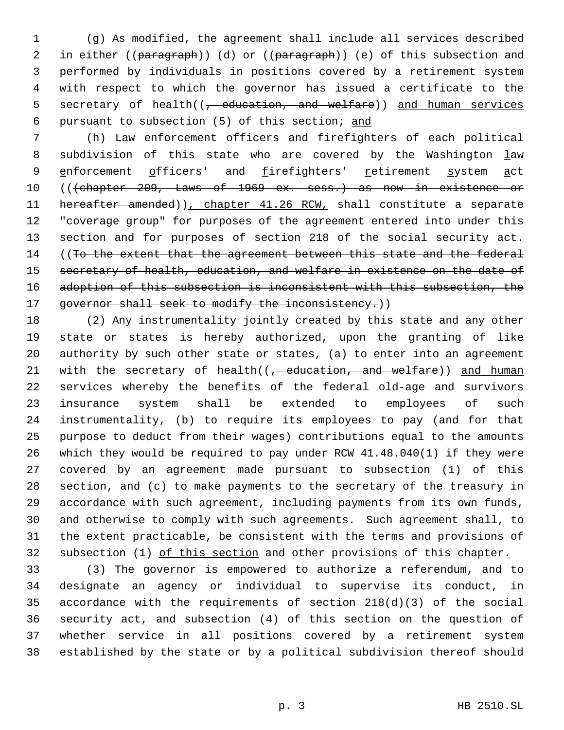(g) As modified, the agreement shall include all services described 2 in either ((paragraph)) (d) or ((paragraph)) (e) of this subsection and performed by individuals in positions covered by a retirement system with respect to which the governor has issued a certificate to the 5 secretary of health((<del>, education, and welfare</del>)) and human services pursuant to subsection (5) of this section; and

 (h) Law enforcement officers and firefighters of each political 8 subdivision of this state who are covered by the Washington law 9 enforcement officers' and firefighters' retirement system act 10 (((chapter 209, Laws of 1969 ex. sess.) as now in existence or 11 hereafter amended)), chapter 41.26 RCW, shall constitute a separate "coverage group" for purposes of the agreement entered into under this section and for purposes of section 218 of the social security act. 14 ((To the extent that the agreement between this state and the federal 15 secretary of health, education, and welfare in existence on the date of 16 adoption of this subsection is inconsistent with this subsection, the 17 governor shall seek to modify the inconsistency.))

 (2) Any instrumentality jointly created by this state and any other state or states is hereby authorized, upon the granting of like authority by such other state or states, (a) to enter into an agreement 21 with the secretary of health( $\left($ , education, and welfare)) and human 22 services whereby the benefits of the federal old-age and survivors insurance system shall be extended to employees of such instrumentality, (b) to require its employees to pay (and for that purpose to deduct from their wages) contributions equal to the amounts which they would be required to pay under RCW 41.48.040(1) if they were covered by an agreement made pursuant to subsection (1) of this section, and (c) to make payments to the secretary of the treasury in accordance with such agreement, including payments from its own funds, and otherwise to comply with such agreements. Such agreement shall, to the extent practicable, be consistent with the terms and provisions of 32 subsection (1) of this section and other provisions of this chapter.

 (3) The governor is empowered to authorize a referendum, and to designate an agency or individual to supervise its conduct, in accordance with the requirements of section 218(d)(3) of the social security act, and subsection (4) of this section on the question of whether service in all positions covered by a retirement system established by the state or by a political subdivision thereof should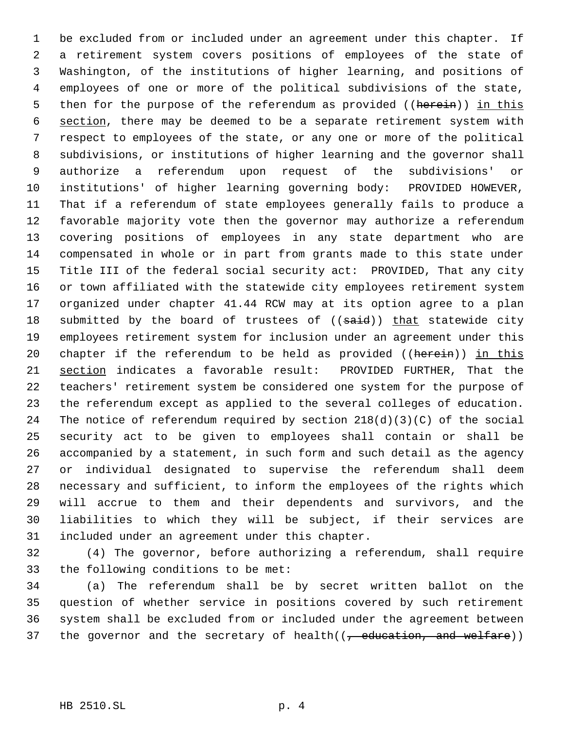be excluded from or included under an agreement under this chapter. If a retirement system covers positions of employees of the state of Washington, of the institutions of higher learning, and positions of employees of one or more of the political subdivisions of the state, 5 then for the purpose of the referendum as provided ((herein)) in this 6 section, there may be deemed to be a separate retirement system with respect to employees of the state, or any one or more of the political subdivisions, or institutions of higher learning and the governor shall authorize a referendum upon request of the subdivisions' or institutions' of higher learning governing body: PROVIDED HOWEVER, That if a referendum of state employees generally fails to produce a favorable majority vote then the governor may authorize a referendum covering positions of employees in any state department who are compensated in whole or in part from grants made to this state under Title III of the federal social security act: PROVIDED, That any city or town affiliated with the statewide city employees retirement system organized under chapter 41.44 RCW may at its option agree to a plan 18 submitted by the board of trustees of ((said)) that statewide city employees retirement system for inclusion under an agreement under this 20 chapter if the referendum to be held as provided ((herein)) in this section indicates a favorable result: PROVIDED FURTHER, That the teachers' retirement system be considered one system for the purpose of the referendum except as applied to the several colleges of education. The notice of referendum required by section 218(d)(3)(C) of the social security act to be given to employees shall contain or shall be accompanied by a statement, in such form and such detail as the agency or individual designated to supervise the referendum shall deem necessary and sufficient, to inform the employees of the rights which will accrue to them and their dependents and survivors, and the liabilities to which they will be subject, if their services are included under an agreement under this chapter.

 (4) The governor, before authorizing a referendum, shall require the following conditions to be met:

 (a) The referendum shall be by secret written ballot on the question of whether service in positions covered by such retirement system shall be excluded from or included under the agreement between 37 the governor and the secretary of health( $(-$  education, and welfare))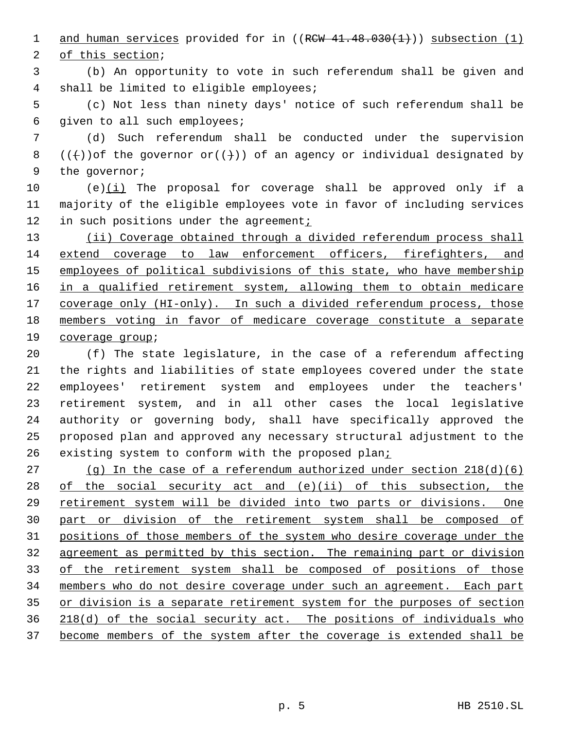1 and human services provided for in  $((RCW 41.48.030(1)))$  subsection  $(1)$ 

of this section;

 (b) An opportunity to vote in such referendum shall be given and shall be limited to eligible employees;

 (c) Not less than ninety days' notice of such referendum shall be given to all such employees;

 (d) Such referendum shall be conducted under the supervision 8 ((+)) of the governor or((+)) of an agency or individual designated by the governor;

10  $(e)(i)$  The proposal for coverage shall be approved only if a majority of the eligible employees vote in favor of including services 12 in such positions under the agreement;

13 (ii) Coverage obtained through a divided referendum process shall extend coverage to law enforcement officers, firefighters, and 15 employees of political subdivisions of this state, who have membership 16 in a qualified retirement system, allowing them to obtain medicare 17 coverage only (HI-only). In such a divided referendum process, those members voting in favor of medicare coverage constitute a separate coverage group;

 (f) The state legislature, in the case of a referendum affecting the rights and liabilities of state employees covered under the state employees' retirement system and employees under the teachers' retirement system, and in all other cases the local legislative authority or governing body, shall have specifically approved the proposed plan and approved any necessary structural adjustment to the 26 existing system to conform with the proposed plani

 (g) In the case of a referendum authorized under section 218(d)(6) of the social security act and (e)(ii) of this subsection, the retirement system will be divided into two parts or divisions. One part or division of the retirement system shall be composed of positions of those members of the system who desire coverage under the agreement as permitted by this section. The remaining part or division of the retirement system shall be composed of positions of those members who do not desire coverage under such an agreement. Each part 35 or division is a separate retirement system for the purposes of section 218(d) of the social security act. The positions of individuals who become members of the system after the coverage is extended shall be